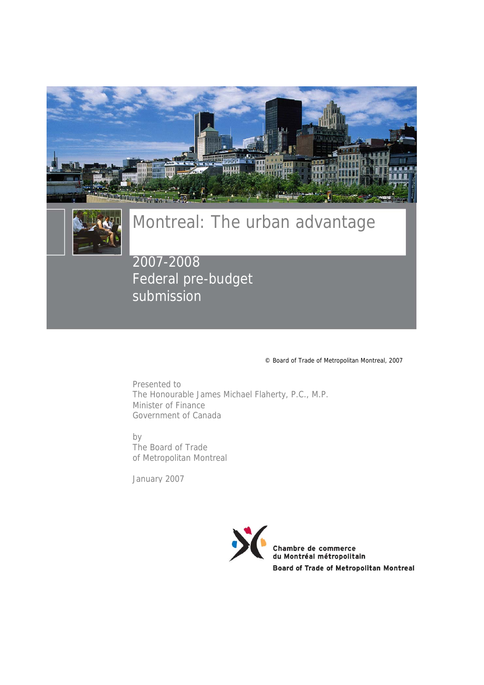



# Montreal: The urban advantage

2007-2008 Federal pre-budget submission

© Board of Trade of Metropolitan Montreal, 2007

Presented to The Honourable James Michael Flaherty, P.C., M.P. Minister of Finance Government of Canada

by The Board of Trade of Metropolitan Montreal

January 2007

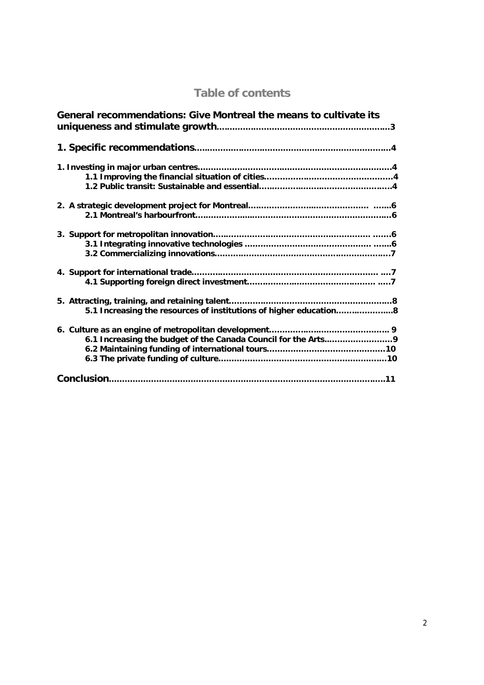# **Table of contents**

| General recommendations: Give Montreal the means to cultivate its |
|-------------------------------------------------------------------|
|                                                                   |
|                                                                   |
|                                                                   |
|                                                                   |
|                                                                   |
|                                                                   |
|                                                                   |
|                                                                   |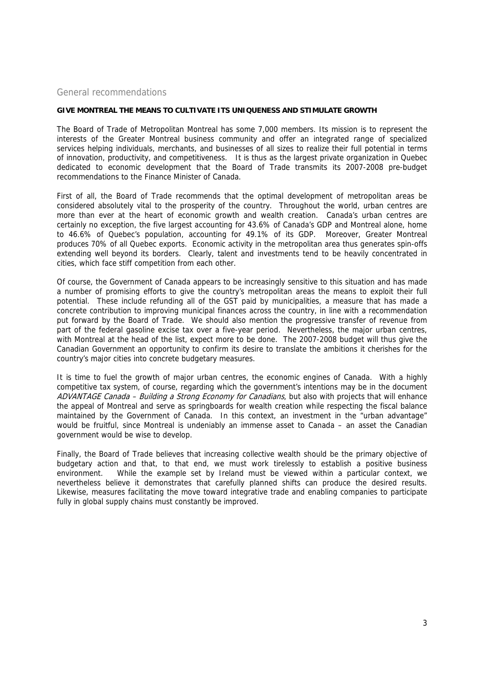#### General recommendations

#### **GIVE MONTREAL THE MEANS TO CULTIVATE ITS UNIQUENESS AND STIMULATE GROWTH**

The Board of Trade of Metropolitan Montreal has some 7,000 members. Its mission is to represent the interests of the Greater Montreal business community and offer an integrated range of specialized services helping individuals, merchants, and businesses of all sizes to realize their full potential in terms of innovation, productivity, and competitiveness. It is thus as the largest private organization in Quebec dedicated to economic development that the Board of Trade transmits its 2007-2008 pre-budget recommendations to the Finance Minister of Canada.

First of all, the Board of Trade recommends that the optimal development of metropolitan areas be considered absolutely vital to the prosperity of the country. Throughout the world, urban centres are more than ever at the heart of economic growth and wealth creation. Canada's urban centres are certainly no exception, the five largest accounting for 43.6% of Canada's GDP and Montreal alone, home to 46.6% of Quebec's population, accounting for 49.1% of its GDP. Moreover, Greater Montreal produces 70% of all Quebec exports. Economic activity in the metropolitan area thus generates spin-offs extending well beyond its borders. Clearly, talent and investments tend to be heavily concentrated in cities, which face stiff competition from each other.

Of course, the Government of Canada appears to be increasingly sensitive to this situation and has made a number of promising efforts to give the country's metropolitan areas the means to exploit their full potential. These include refunding all of the GST paid by municipalities, a measure that has made a concrete contribution to improving municipal finances across the country, in line with a recommendation put forward by the Board of Trade. We should also mention the progressive transfer of revenue from part of the federal gasoline excise tax over a five-year period. Nevertheless, the major urban centres, with Montreal at the head of the list, expect more to be done. The 2007-2008 budget will thus give the Canadian Government an opportunity to confirm its desire to translate the ambitions it cherishes for the country's major cities into concrete budgetary measures.

It is time to fuel the growth of major urban centres, the economic engines of Canada. With a highly competitive tax system, of course, regarding which the government's intentions may be in the document ADVANTAGE Canada - Building a Strong Economy for Canadians, but also with projects that will enhance the appeal of Montreal and serve as springboards for wealth creation while respecting the fiscal balance maintained by the Government of Canada. In this context, an investment in the "urban advantage" would be fruitful, since Montreal is undeniably an immense asset to Canada – an asset the Canadian government would be wise to develop.

Finally, the Board of Trade believes that increasing collective wealth should be the primary objective of budgetary action and that, to that end, we must work tirelessly to establish a positive business environment. While the example set by Ireland must be viewed within a particular context, we nevertheless believe it demonstrates that carefully planned shifts can produce the desired results. Likewise, measures facilitating the move toward integrative trade and enabling companies to participate fully in global supply chains must constantly be improved.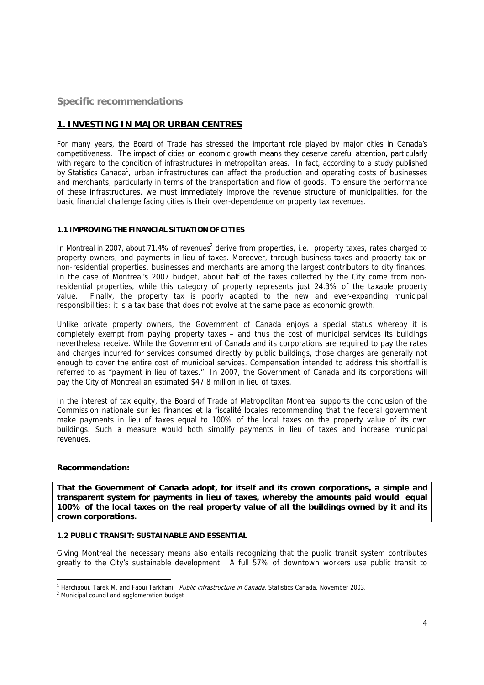# **Specific recommendations**

# **1. INVESTING IN MAJOR URBAN CENTRES**

For many years, the Board of Trade has stressed the important role played by major cities in Canada's competitiveness. The impact of cities on economic growth means they deserve careful attention, particularly with regard to the condition of infrastructures in metropolitan areas. In fact, according to a study published by Statistics Canada<sup>1</sup>, urban infrastructures can affect the production and operating costs of businesses and merchants, particularly in terms of the transportation and flow of goods. To ensure the performance of these infrastructures, we must immediately improve the revenue structure of municipalities, for the basic financial challenge facing cities is their over-dependence on property tax revenues.

#### **1.1 IMPROVING THE FINANCIAL SITUATION OF CITIES**

In Montreal in 2007, about 71.4% of revenues<sup>2</sup> derive from properties, i.e., property taxes, rates charged to property owners, and payments in lieu of taxes. Moreover, through business taxes and property tax on non-residential properties, businesses and merchants are among the largest contributors to city finances. In the case of Montreal's 2007 budget, about half of the taxes collected by the City come from nonresidential properties, while this category of property represents just 24.3% of the taxable property value. Finally, the property tax is poorly adapted to the new and ever-expanding municipal responsibilities: it is a tax base that does not evolve at the same pace as economic growth.

Unlike private property owners, the Government of Canada enjoys a special status whereby it is completely exempt from paying property taxes – and thus the cost of municipal services its buildings nevertheless receive. While the Government of Canada and its corporations are required to pay the rates and charges incurred for services consumed directly by public buildings, those charges are generally not enough to cover the entire cost of municipal services. Compensation intended to address this shortfall is referred to as "payment in lieu of taxes." In 2007, the Government of Canada and its corporations will pay the City of Montreal an estimated \$47.8 million in lieu of taxes.

In the interest of tax equity, the Board of Trade of Metropolitan Montreal supports the conclusion of the Commission nationale sur les finances et la fiscalité locales recommending that the federal government make payments in lieu of taxes equal to 100% of the local taxes on the property value of its own buildings. Such a measure would both simplify payments in lieu of taxes and increase municipal revenues.

#### **Recommendation:**

**That the Government of Canada adopt, for itself and its crown corporations, a simple and transparent system for payments in lieu of taxes, whereby the amounts paid would equal 100% of the local taxes on the real property value of all the buildings owned by it and its crown corporations.** 

# **1.2 PUBLIC TRANSIT: SUSTAINABLE AND ESSENTIAL**

Giving Montreal the necessary means also entails recognizing that the public transit system contributes greatly to the City's sustainable development. A full 57% of downtown workers use public transit to

<sup>&</sup>lt;u>—</u><br><sup>1</sup> Harchaoui, Tarek M. and Faoui Tarkhani, *Public infrastructure in Canada*, Statistics Canada, November 2003.<br><sup>2</sup> Municipal council and agglomeration budget.

<sup>&</sup>lt;sup>2</sup> Municipal council and agglomeration budget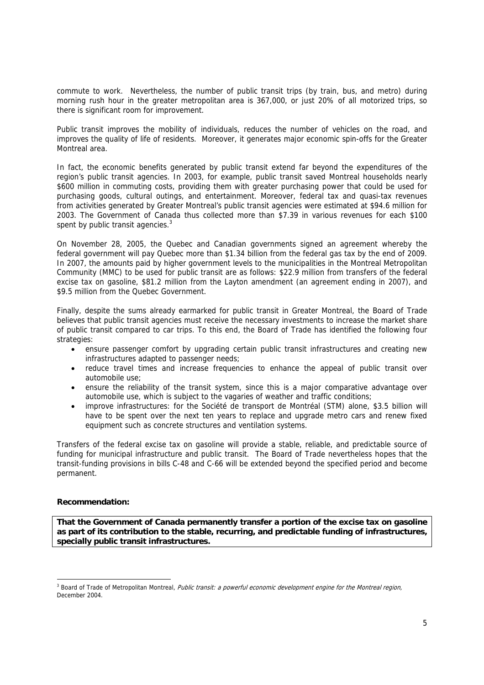commute to work. Nevertheless, the number of public transit trips (by train, bus, and metro) during morning rush hour in the greater metropolitan area is 367,000, or just 20% of all motorized trips, so there is significant room for improvement.

Public transit improves the mobility of individuals, reduces the number of vehicles on the road, and improves the quality of life of residents. Moreover, it generates major economic spin-offs for the Greater Montreal area.

In fact, the economic benefits generated by public transit extend far beyond the expenditures of the region's public transit agencies. In 2003, for example, public transit saved Montreal households nearly \$600 million in commuting costs, providing them with greater purchasing power that could be used for purchasing goods, cultural outings, and entertainment. Moreover, federal tax and quasi-tax revenues from activities generated by Greater Montreal's public transit agencies were estimated at \$94.6 million for 2003. The Government of Canada thus collected more than \$7.39 in various revenues for each \$100 spent by public transit agencies. $3$ 

On November 28, 2005, the Quebec and Canadian governments signed an agreement whereby the federal government will pay Quebec more than \$1.34 billion from the federal gas tax by the end of 2009. In 2007, the amounts paid by higher government levels to the municipalities in the Montreal Metropolitan Community (MMC) to be used for public transit are as follows: \$22.9 million from transfers of the federal excise tax on gasoline, \$81.2 million from the Layton amendment (an agreement ending in 2007), and \$9.5 million from the Quebec Government.

Finally, despite the sums already earmarked for public transit in Greater Montreal, the Board of Trade believes that public transit agencies must receive the necessary investments to increase the market share of public transit compared to car trips. To this end, the Board of Trade has identified the following four strategies:

- ensure passenger comfort by upgrading certain public transit infrastructures and creating new infrastructures adapted to passenger needs;
- reduce travel times and increase frequencies to enhance the appeal of public transit over automobile use;
- ensure the reliability of the transit system, since this is a major comparative advantage over automobile use, which is subject to the vagaries of weather and traffic conditions;
- improve infrastructures: for the Société de transport de Montréal (STM) alone, \$3.5 billion will have to be spent over the next ten years to replace and upgrade metro cars and renew fixed equipment such as concrete structures and ventilation systems.

Transfers of the federal excise tax on gasoline will provide a stable, reliable, and predictable source of funding for municipal infrastructure and public transit. The Board of Trade nevertheless hopes that the transit-funding provisions in bills C-48 and C-66 will be extended beyond the specified period and become permanent.

# **Recommendation:**

-

**That the Government of Canada permanently transfer a portion of the excise tax on gasoline as part of its contribution to the stable, recurring, and predictable funding of infrastructures, specially public transit infrastructures.** 

<sup>&</sup>lt;sup>3</sup> Board of Trade of Metropolitan Montreal, Public transit: a powerful economic development engine for the Montreal region, December 2004.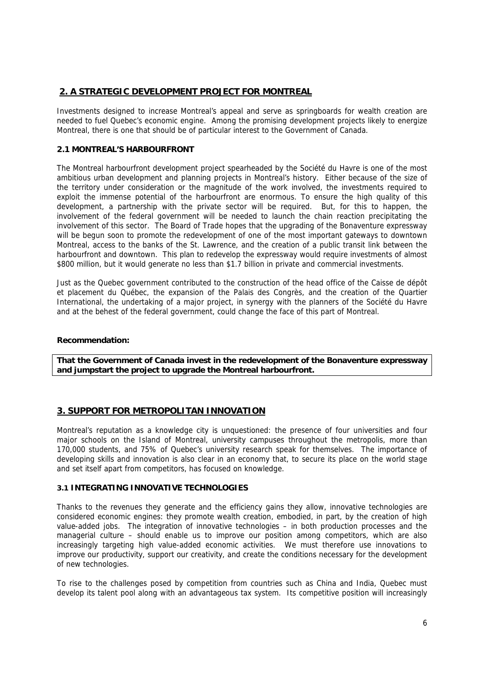# **2. A STRATEGIC DEVELOPMENT PROJECT FOR MONTREAL**

Investments designed to increase Montreal's appeal and serve as springboards for wealth creation are needed to fuel Quebec's economic engine. Among the promising development projects likely to energize Montreal, there is one that should be of particular interest to the Government of Canada.

# **2.1 MONTREAL'S HARBOURFRONT**

The Montreal harbourfront development project spearheaded by the Société du Havre is one of the most ambitious urban development and planning projects in Montreal's history. Either because of the size of the territory under consideration or the magnitude of the work involved, the investments required to exploit the immense potential of the harbourfront are enormous. To ensure the high quality of this development, a partnership with the private sector will be required. But, for this to happen, the involvement of the federal government will be needed to launch the chain reaction precipitating the involvement of this sector. The Board of Trade hopes that the upgrading of the Bonaventure expressway will be begun soon to promote the redevelopment of one of the most important gateways to downtown Montreal, access to the banks of the St. Lawrence, and the creation of a public transit link between the harbourfront and downtown. This plan to redevelop the expressway would require investments of almost \$800 million, but it would generate no less than \$1.7 billion in private and commercial investments.

Just as the Quebec government contributed to the construction of the head office of the Caisse de dépôt et placement du Québec, the expansion of the Palais des Congrès, and the creation of the Quartier International, the undertaking of a major project, in synergy with the planners of the Société du Havre and at the behest of the federal government, could change the face of this part of Montreal.

#### **Recommendation:**

**That the Government of Canada invest in the redevelopment of the Bonaventure expressway and jumpstart the project to upgrade the Montreal harbourfront.** 

# **3. SUPPORT FOR METROPOLITAN INNOVATION**

Montreal's reputation as a knowledge city is unquestioned: the presence of four universities and four major schools on the Island of Montreal, university campuses throughout the metropolis, more than 170,000 students, and 75% of Quebec's university research speak for themselves. The importance of developing skills and innovation is also clear in an economy that, to secure its place on the world stage and set itself apart from competitors, has focused on knowledge.

# **3.1 INTEGRATING INNOVATIVE TECHNOLOGIES**

Thanks to the revenues they generate and the efficiency gains they allow, innovative technologies are considered economic engines: they promote wealth creation, embodied, in part, by the creation of high value-added jobs. The integration of innovative technologies – in both production processes and the managerial culture – should enable us to improve our position among competitors, which are also increasingly targeting high value-added economic activities. We must therefore use innovations to improve our productivity, support our creativity, and create the conditions necessary for the development of new technologies.

To rise to the challenges posed by competition from countries such as China and India, Quebec must develop its talent pool along with an advantageous tax system. Its competitive position will increasingly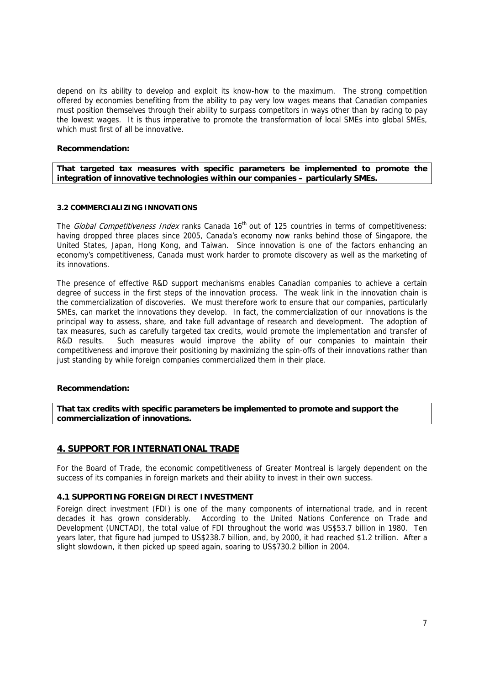depend on its ability to develop and exploit its know-how to the maximum. The strong competition offered by economies benefiting from the ability to pay very low wages means that Canadian companies must position themselves through their ability to surpass competitors in ways other than by racing to pay the lowest wages. It is thus imperative to promote the transformation of local SMEs into global SMEs, which must first of all be innovative.

#### **Recommendation:**

**That targeted tax measures with specific parameters be implemented to promote the integration of innovative technologies within our companies – particularly SMEs.**

#### **3.2 COMMERCIALIZING INNOVATIONS**

The *Global Competitiveness Index* ranks Canada 16<sup>th</sup> out of 125 countries in terms of competitiveness: having dropped three places since 2005, Canada's economy now ranks behind those of Singapore, the United States, Japan, Hong Kong, and Taiwan. Since innovation is one of the factors enhancing an economy's competitiveness, Canada must work harder to promote discovery as well as the marketing of its innovations.

The presence of effective R&D support mechanisms enables Canadian companies to achieve a certain degree of success in the first steps of the innovation process. The weak link in the innovation chain is the commercialization of discoveries. We must therefore work to ensure that our companies, particularly SMEs, can market the innovations they develop. In fact, the commercialization of our innovations is the principal way to assess, share, and take full advantage of research and development. The adoption of tax measures, such as carefully targeted tax credits, would promote the implementation and transfer of R&D results. Such measures would improve the ability of our companies to maintain their competitiveness and improve their positioning by maximizing the spin-offs of their innovations rather than just standing by while foreign companies commercialized them in their place.

# **Recommendation:**

**That tax credits with specific parameters be implemented to promote and support the commercialization of innovations.**

# **4. SUPPORT FOR INTERNATIONAL TRADE**

For the Board of Trade, the economic competitiveness of Greater Montreal is largely dependent on the success of its companies in foreign markets and their ability to invest in their own success.

#### **4.1 SUPPORTING FOREIGN DIRECT INVESTMENT**

Foreign direct investment (FDI) is one of the many components of international trade, and in recent decades it has grown considerably. According to the United Nations Conference on Trade and Development (UNCTAD), the total value of FDI throughout the world was US\$53.7 billion in 1980. Ten years later, that figure had jumped to US\$238.7 billion, and, by 2000, it had reached \$1.2 trillion. After a slight slowdown, it then picked up speed again, soaring to US\$730.2 billion in 2004.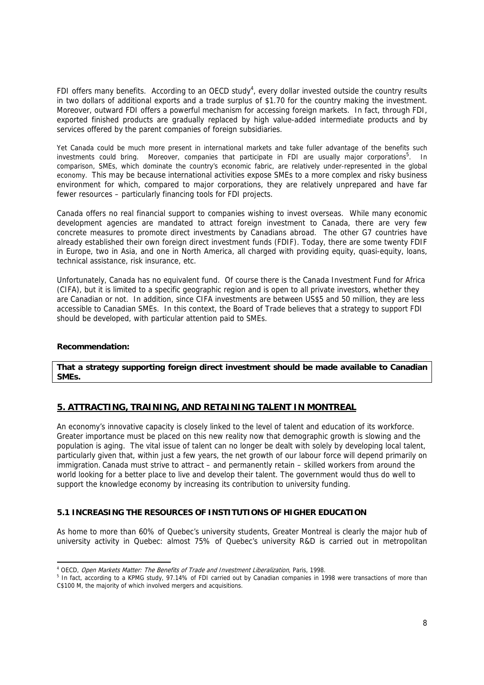FDI offers many benefits. According to an OECD study<sup>4</sup>, every dollar invested outside the country results in two dollars of additional exports and a trade surplus of \$1.70 for the country making the investment. Moreover, outward FDI offers a powerful mechanism for accessing foreign markets. In fact, through FDI, exported finished products are gradually replaced by high value-added intermediate products and by services offered by the parent companies of foreign subsidiaries.

Yet Canada could be much more present in international markets and take fuller advantage of the benefits such investments could bring. Moreover, companies that participate in FDI are usually major corporations<sup>5</sup>. In comparison, SMEs, which dominate the country's economic fabric, are relatively under-represented in the global economy. This may be because international activities expose SMEs to a more complex and risky business environment for which, compared to major corporations, they are relatively unprepared and have far fewer resources – particularly financing tools for FDI projects.

Canada offers no real financial support to companies wishing to invest overseas. While many economic development agencies are mandated to attract foreign investment to Canada, there are very few concrete measures to promote direct investments by Canadians abroad. The other G7 countries have already established their own foreign direct investment funds (FDIF). Today, there are some twenty FDIF in Europe, two in Asia, and one in North America, all charged with providing equity, quasi-equity, loans, technical assistance, risk insurance, etc.

Unfortunately, Canada has no equivalent fund. Of course there is the Canada Investment Fund for Africa (CIFA), but it is limited to a specific geographic region and is open to all private investors, whether they are Canadian or not. In addition, since CIFA investments are between US\$5 and 50 million, they are less accessible to Canadian SMEs. In this context, the Board of Trade believes that a strategy to support FDI should be developed, with particular attention paid to SMEs.

#### **Recommendation:**

-

**That a strategy supporting foreign direct investment should be made available to Canadian SMEs.** 

# **5. ATTRACTING, TRAINING, AND RETAINING TALENT IN MONTREAL**

An economy's innovative capacity is closely linked to the level of talent and education of its workforce. Greater importance must be placed on this new reality now that demographic growth is slowing and the population is aging. The vital issue of talent can no longer be dealt with solely by developing local talent, particularly given that, within just a few years, the net growth of our labour force will depend primarily on immigration. Canada must strive to attract – and permanently retain – skilled workers from around the world looking for a better place to live and develop their talent. The government would thus do well to support the knowledge economy by increasing its contribution to university funding.

# **5.1 INCREASING THE RESOURCES OF INSTITUTIONS OF HIGHER EDUCATION**

As home to more than 60% of Quebec's university students, Greater Montreal is clearly the major hub of university activity in Quebec: almost 75% of Quebec's university R&D is carried out in metropolitan

<sup>&</sup>lt;sup>4</sup> OECD, *Open Markets Matter: The Benefits of Trade and Investment Liberalization*, Paris, 1998.<br><sup>5</sup> In fact, according to a KPMC study, 97,14% of EDL carried out by Capadian companies in 19

In fact, according to a KPMG study, 97.14% of FDI carried out by Canadian companies in 1998 were transactions of more than C\$100 M, the majority of which involved mergers and acquisitions.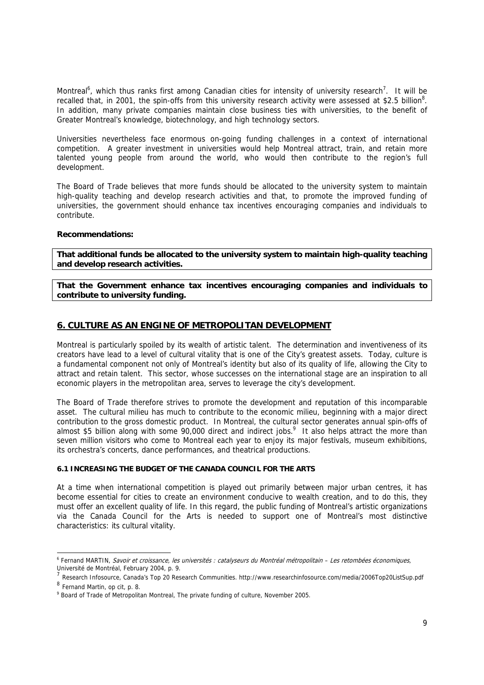Montreal<sup>6</sup>, which thus ranks first among Canadian cities for intensity of university research<sup>7</sup>. It will be recalled that, in 2001, the spin-offs from this university research activity were assessed at \$2.5 billion<sup>8</sup>. In addition, many private companies maintain close business ties with universities, to the benefit of Greater Montreal's knowledge, biotechnology, and high technology sectors.

Universities nevertheless face enormous on-going funding challenges in a context of international competition. A greater investment in universities would help Montreal attract, train, and retain more talented young people from around the world, who would then contribute to the region's full development.

The Board of Trade believes that more funds should be allocated to the university system to maintain high-quality teaching and develop research activities and that, to promote the improved funding of universities, the government should enhance tax incentives encouraging companies and individuals to contribute.

#### **Recommendations:**

**That additional funds be allocated to the university system to maintain high-quality teaching and develop research activities.** 

**That the Government enhance tax incentives encouraging companies and individuals to contribute to university funding.** 

# **6. CULTURE AS AN ENGINE OF METROPOLITAN DEVELOPMENT**

Montreal is particularly spoiled by its wealth of artistic talent. The determination and inventiveness of its creators have lead to a level of cultural vitality that is one of the City's greatest assets. Today, culture is a fundamental component not only of Montreal's identity but also of its quality of life, allowing the City to attract and retain talent. This sector, whose successes on the international stage are an inspiration to all economic players in the metropolitan area, serves to leverage the city's development.

The Board of Trade therefore strives to promote the development and reputation of this incomparable asset. The cultural milieu has much to contribute to the economic milieu, beginning with a major direct contribution to the gross domestic product. In Montreal, the cultural sector generates annual spin-offs of almost \$5 billion along with some 90,000 direct and indirect jobs.<sup>9</sup> It also helps attract the more than seven million visitors who come to Montreal each year to enjoy its major festivals, museum exhibitions, its orchestra's concerts, dance performances, and theatrical productions.

# **6.1 INCREASING THE BUDGET OF THE CANADA COUNCIL FOR THE ARTS**

At a time when international competition is played out primarily between major urban centres, it has become essential for cities to create an environment conducive to wealth creation, and to do this, they must offer an excellent quality of life. In this regard, the public funding of Montreal's artistic organizations via the Canada Council for the Arts is needed to support one of Montreal's most distinctive characteristics: its cultural vitality.

-

<sup>6</sup> Fernand MARTIN, Savoir et croissance, les universités : catalyseurs du Montréal métropolitain – Les retombées économiques, Université de Montréal, February 2004, p. 9.

<sup>7</sup> Research Infosource, Canada's Top 20 Research Communities. http://www.researchinfosource.com/media/2006Top20ListSup.pdf

<sup>8</sup> Fernand Martin, op cit, p. 8.

<sup>&</sup>lt;sup>9</sup> Board of Trade of Metropolitan Montreal, The private funding of culture, November 2005.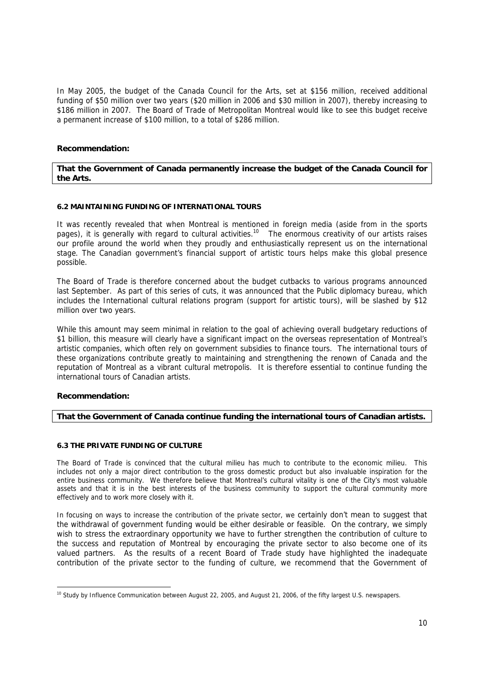In May 2005, the budget of the Canada Council for the Arts, set at \$156 million, received additional funding of \$50 million over two years (\$20 million in 2006 and \$30 million in 2007), thereby increasing to \$186 million in 2007. The Board of Trade of Metropolitan Montreal would like to see this budget receive a permanent increase of \$100 million, to a total of \$286 million.

# **Recommendation:**

#### **That the Government of Canada permanently increase the budget of the Canada Council for the Arts.**

#### **6.2 MAINTAINING FUNDING OF INTERNATIONAL TOURS**

It was recently revealed that when Montreal is mentioned in foreign media (aside from in the sports pages), it is generally with regard to cultural activities.<sup>10</sup> The enormous creativity of our artists raises our profile around the world when they proudly and enthusiastically represent us on the international stage. The Canadian government's financial support of artistic tours helps make this global presence possible.

The Board of Trade is therefore concerned about the budget cutbacks to various programs announced last September. As part of this series of cuts, it was announced that the Public diplomacy bureau, which includes the International cultural relations program (support for artistic tours), will be slashed by \$12 million over two years.

While this amount may seem minimal in relation to the goal of achieving overall budgetary reductions of \$1 billion, this measure will clearly have a significant impact on the overseas representation of Montreal's artistic companies, which often rely on government subsidies to finance tours. The international tours of these organizations contribute greatly to maintaining and strengthening the renown of Canada and the reputation of Montreal as a vibrant cultural metropolis. It is therefore essential to continue funding the international tours of Canadian artists.

# **Recommendation:**

# **That the Government of Canada continue funding the international tours of Canadian artists.**

#### **6.3 THE PRIVATE FUNDING OF CULTURE**

The Board of Trade is convinced that the cultural milieu has much to contribute to the economic milieu. This includes not only a major direct contribution to the gross domestic product but also invaluable inspiration for the entire business community. We therefore believe that Montreal's cultural vitality is one of the City's most valuable assets and that it is in the best interests of the business community to support the cultural community more effectively and to work more closely with it.

In focusing on ways to increase the contribution of the private sector, we certainly don't mean to suggest that the withdrawal of government funding would be either desirable or feasible. On the contrary, we simply wish to stress the extraordinary opportunity we have to further strengthen the contribution of culture to the success and reputation of Montreal by encouraging the private sector to also become one of its valued partners. As the results of a recent Board of Trade study have highlighted the inadequate contribution of the private sector to the funding of culture, we recommend that the Government of

<sup>-</sup><sup>10</sup> Study by Influence Communication between August 22, 2005, and August 21, 2006, of the fifty largest U.S. newspapers.